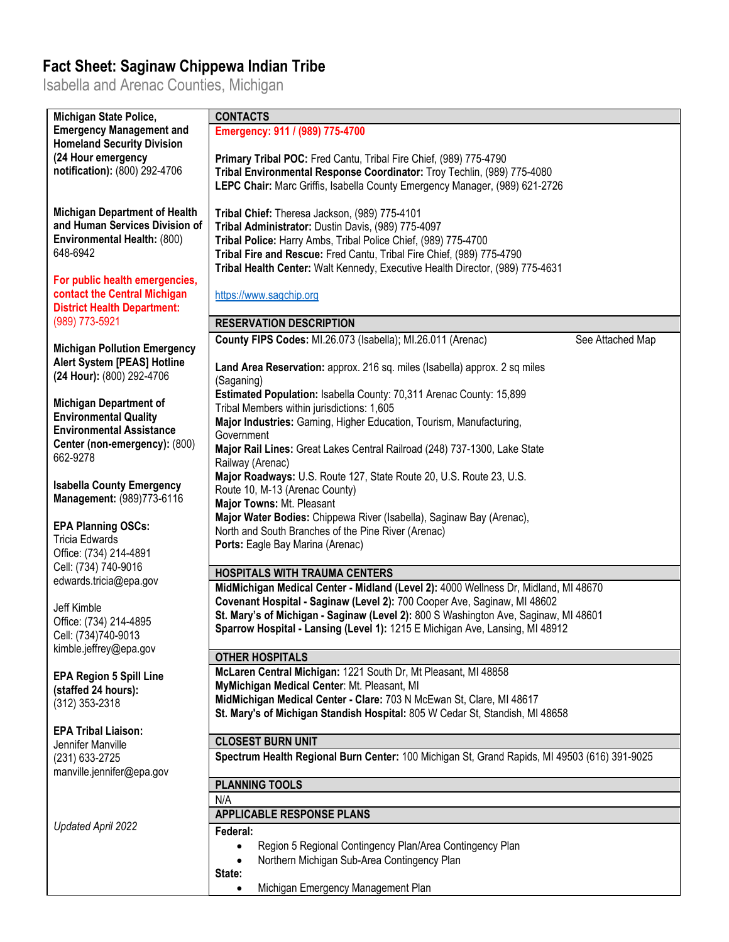## **Fact Sheet: Saginaw Chippewa Indian Tribe**

Isabella and Arenac Counties, Michigan

| Michigan State Police,               | <b>CONTACTS</b>                                                                              |                  |
|--------------------------------------|----------------------------------------------------------------------------------------------|------------------|
| <b>Emergency Management and</b>      | Emergency: 911 / (989) 775-4700                                                              |                  |
| <b>Homeland Security Division</b>    |                                                                                              |                  |
| (24 Hour emergency                   | Primary Tribal POC: Fred Cantu, Tribal Fire Chief, (989) 775-4790                            |                  |
| notification): (800) 292-4706        | Tribal Environmental Response Coordinator: Troy Techlin, (989) 775-4080                      |                  |
|                                      | LEPC Chair: Marc Griffis, Isabella County Emergency Manager, (989) 621-2726                  |                  |
|                                      |                                                                                              |                  |
| <b>Michigan Department of Health</b> | Tribal Chief: Theresa Jackson, (989) 775-4101                                                |                  |
| and Human Services Division of       | Tribal Administrator: Dustin Davis, (989) 775-4097                                           |                  |
| Environmental Health: (800)          | Tribal Police: Harry Ambs, Tribal Police Chief, (989) 775-4700                               |                  |
| 648-6942                             | Tribal Fire and Rescue: Fred Cantu, Tribal Fire Chief, (989) 775-4790                        |                  |
|                                      | Tribal Health Center: Walt Kennedy, Executive Health Director, (989) 775-4631                |                  |
| For public health emergencies,       |                                                                                              |                  |
| contact the Central Michigan         | https://www.sagchip.org                                                                      |                  |
| <b>District Health Department:</b>   |                                                                                              |                  |
| (989) 773-5921                       | <b>RESERVATION DESCRIPTION</b>                                                               |                  |
|                                      | County FIPS Codes: MI.26.073 (Isabella); MI.26.011 (Arenac)                                  | See Attached Map |
| <b>Michigan Pollution Emergency</b>  |                                                                                              |                  |
| Alert System [PEAS] Hotline          | Land Area Reservation: approx. 216 sq. miles (Isabella) approx. 2 sq miles                   |                  |
| (24 Hour): (800) 292-4706            |                                                                                              |                  |
|                                      | (Saganing)                                                                                   |                  |
| <b>Michigan Department of</b>        | Estimated Population: Isabella County: 70,311 Arenac County: 15,899                          |                  |
| <b>Environmental Quality</b>         | Tribal Members within jurisdictions: 1,605                                                   |                  |
| <b>Environmental Assistance</b>      | Major Industries: Gaming, Higher Education, Tourism, Manufacturing,                          |                  |
| Center (non-emergency): (800)        | Government                                                                                   |                  |
| 662-9278                             | Major Rail Lines: Great Lakes Central Railroad (248) 737-1300, Lake State                    |                  |
|                                      | Railway (Arenac)<br>Major Roadways: U.S. Route 127, State Route 20, U.S. Route 23, U.S.      |                  |
| <b>Isabella County Emergency</b>     |                                                                                              |                  |
| Management: (989)773-6116            | Route 10, M-13 (Arenac County)                                                               |                  |
|                                      | Major Towns: Mt. Pleasant                                                                    |                  |
| <b>EPA Planning OSCs:</b>            | Major Water Bodies: Chippewa River (Isabella), Saginaw Bay (Arenac),                         |                  |
| Tricia Edwards                       | North and South Branches of the Pine River (Arenac)                                          |                  |
| Office: (734) 214-4891               | Ports: Eagle Bay Marina (Arenac)                                                             |                  |
| Cell: (734) 740-9016                 |                                                                                              |                  |
| edwards.tricia@epa.gov               | <b>HOSPITALS WITH TRAUMA CENTERS</b>                                                         |                  |
|                                      | MidMichigan Medical Center - Midland (Level 2): 4000 Wellness Dr, Midland, MI 48670          |                  |
| Jeff Kimble                          | Covenant Hospital - Saginaw (Level 2): 700 Cooper Ave, Saginaw, MI 48602                     |                  |
| Office: (734) 214-4895               | St. Mary's of Michigan - Saginaw (Level 2): 800 S Washington Ave, Saginaw, MI 48601          |                  |
| Cell: (734)740-9013                  | Sparrow Hospital - Lansing (Level 1): 1215 E Michigan Ave, Lansing, MI 48912                 |                  |
| kimble.jeffrey@epa.gov               |                                                                                              |                  |
|                                      | <b>OTHER HOSPITALS</b>                                                                       |                  |
| <b>EPA Region 5 Spill Line</b>       | McLaren Central Michigan: 1221 South Dr, Mt Pleasant, MI 48858                               |                  |
| (staffed 24 hours):                  | MyMichigan Medical Center: Mt. Pleasant, MI                                                  |                  |
| (312) 353-2318                       | MidMichigan Medical Center - Clare: 703 N McEwan St, Clare, MI 48617                         |                  |
|                                      | St. Mary's of Michigan Standish Hospital: 805 W Cedar St, Standish, MI 48658                 |                  |
| <b>EPA Tribal Liaison:</b>           |                                                                                              |                  |
| Jennifer Manville                    | <b>CLOSEST BURN UNIT</b>                                                                     |                  |
| (231) 633-2725                       | Spectrum Health Regional Burn Center: 100 Michigan St, Grand Rapids, MI 49503 (616) 391-9025 |                  |
| manville.jennifer@epa.gov            |                                                                                              |                  |
|                                      | <b>PLANNING TOOLS</b>                                                                        |                  |
|                                      | N/A                                                                                          |                  |
|                                      | <b>APPLICABLE RESPONSE PLANS</b>                                                             |                  |
| Updated April 2022                   | Federal:                                                                                     |                  |
|                                      | Region 5 Regional Contingency Plan/Area Contingency Plan                                     |                  |
|                                      | Northern Michigan Sub-Area Contingency Plan                                                  |                  |
|                                      | State:                                                                                       |                  |
|                                      | Michigan Emergency Management Plan                                                           |                  |
|                                      |                                                                                              |                  |